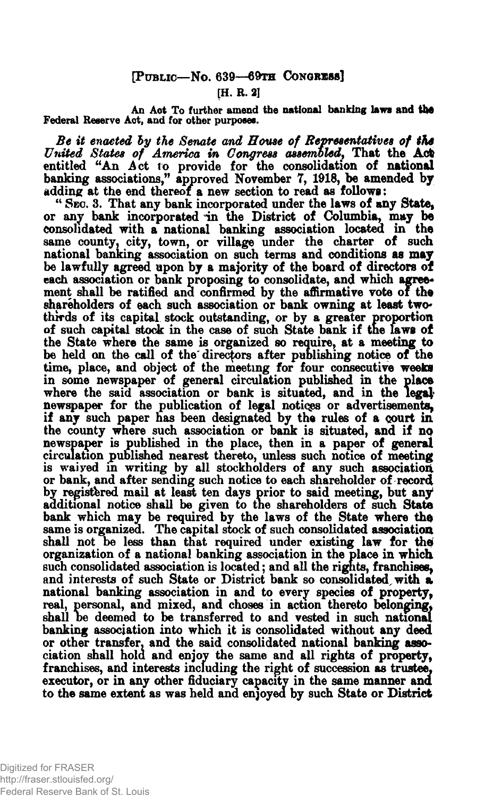## [H. R. 2]

An Act To further amend the national banking laws and the Federal Reserve Aot, and for other purposes.

*Be it enacted by the Senate and House of Representatives of the United States of America in Congress assembled}* That the Act entitled "An Act to provide for the consolidation of national banking associations," approved November 7, 1918, be amended by adding at the end thereof a new section to read as follows:

" Sec. 3. That any bank incorporated under the laws of any State, or any bank incorporated in the District of Columbia, may be consolidated with a national banking association located in the same county, city, town, or village under the charter of such national banking association on such terms and conditions as may be lawfully agreed upon by a majority of the board of directors of each association or bank proposing to consolidate, and which agreement shall be ratified and confirmed by the affirmative vote of the shareholders of each such association or bank owning at least twothirds of its capital stock outstanding, or by a greater proportion of such capital stock in the case of such State bank if the laws of the State where the same is organized so require, at a meeting to be held on the call of the'directors after publishing notice of the time, place, and object of the meeting for four consecutive weeks in some newspaper of general circulation published in the place where the said association or bank is situated, and in the legalnewspaper for the publication of legal notices or advertisements. if any such paper has been designated by the rules of a court in the county where such association or bank is situated, and if no newspaper is published in the place, then in a paper of general circulation published nearest thereto, unless such notice of meeting is waived in writing by all stockholders of any such association or bank, and after sending such notice to each shareholder of-record by registered mail at least ten days prior to said meeting, but any additional notice shall be given to the shareholders of such State bank which may be required by the laws of the State where the same is organized. The capital stock of such consolidated association shall not be less than that required under existing law for the organization of a national banking association in the place in which such consolidated association is located; and all the rights, franchises, and interests of such State or District bank so consolidated with a national banking association in and to every species of property, real, personal, and mixed, and choses in action thereto belonging, shall De deemed to be transferred to and vested in such national banking association into which it is consolidated without any deed or other transfer, and the said consolidated national banking association shall hold and enjoy the same and all rights of property, franchises, and interests including the right of succession as trustee, executor, or in any other fiduciary capacity in the same manner and to the same extent as was held and enjoyed by such State or District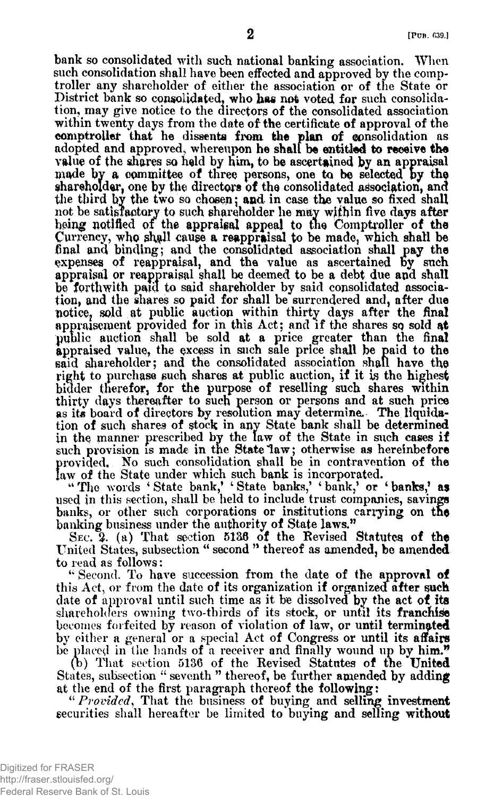bank so consolidated with such national banking association. When such consolidation shall have been effected and approved by the comptroller any shareholder of either the association or of the State or District bank so consolidated, who has not voted for such consolidation, may give notice to the directors of the consolidated association within twenty days from the date of the certificate of approval of the comptroller that he dissents from the plan of consolidation as adopted and approved, whereupon he shall be entitled to receive the value of the shares so held by him, to be ascertained by an appraisal mode by **a** committee of three persons, one to be selected by the shareholder, one by the directors of the consolidated association, and the third by the two so chosen; and in case the value so fixed shall<br>not be satisfactory to such shareholder he may within five days after<br>heing notified of the appraisal appeal to the Comptroller of the Currency, who cauge a reappraisal to be made, which shall be final and binding; and the consolidated association shall pay the expenses of reappraisal, and the value as ascertained by such appraisal or reappraisal shall be deemed to be a debt due and shall be forthwith paid to said shareholder by said consolidated association, and the shares so paid for shall be surrendered and, after due notice, sold at public auction within thirty days after the final appraisement provided for in this Act; and if the shares so sold at public auction shall be sold at a price greater than the final appraised value, the excess in such sale price shall be paid to the said shareholder; and the consolidated association shall have the right to purchase such shares at public auction, if it is the highest bidder therefor, for the purpose of reselling such shares within thirty days thereafter to such person or persons and at such price as its board of directors by resolution may determine. The liquidation of such shares of stock in any State bank shall be determined in the manner prescribed by the law of the State in such cases if such provision is made in the State law; otherwise as hereinbefore provided. No such consolidation shall be in contraven<br>law of the State under which such bank is incorporated. provided. No such consolidation shall be in contravention of the

"The words 'State bank,' 'State banks,' 'bank,' or 'banks,' as used in this section, shall be held to include trust companies, savings banks, or other such corporations or institutions carrying on tho banking business under the authority of State laws."

SEC. 2. (a) That section 5136 of the Revised Statutes of the United States, subsection " second " thereof as amended, be amended **to read as follows:**

"Second. To have succession from the date of the approval of this Act, or from the date of its organization if organized after such date of approval until such time as it be dissolved by the act of its shareholders owning two-thirds of its stock, or until its franchise becomes forfeited by reason of violation of law, or until terminated by either a general or a special Act of Congress or until its affairs be placed in the hands of a receiver and finally wound up by him."

(b) That section 5136 of the Revised Statutes of the United States, subsection " seventh " thereof, be further amended by adding at the end of the first paragraph thereof the following:

" *Provided*, That the business of buying and selling investment securities shall hereafter be limited to buying and selling without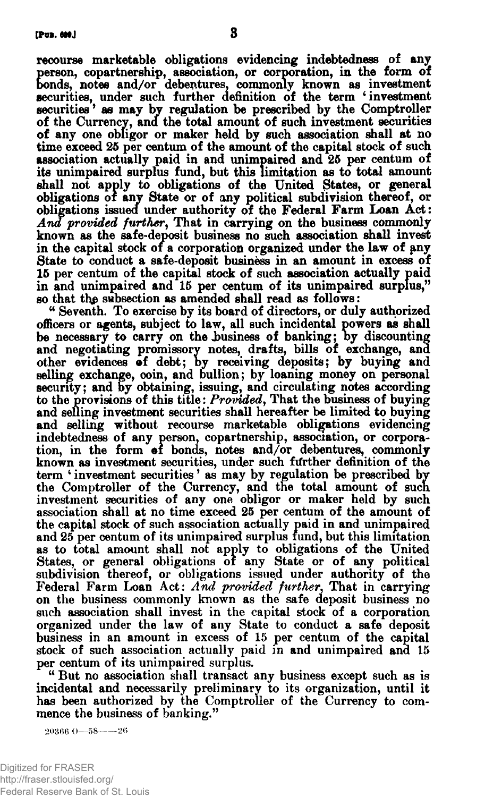recourse marketable obligations evidencing indebtedness of any person, copartnership, association, or corporation, in the form of bonds, notes and/or debentures, commonly known as investment securities, under such further definition of the term ' investment securities' as may by regulation be prescribed by the Comptroller of the Currency, and the total amount of such investment securities of any one obligor or maker held by such association shall at no time exceed 25 per centum of the amount of the capital stock of such association actually paid in and unimpaired and 25 per centum of its unimpaired surplus fund, but this limitation as to total amount shall not apply to obligations of the United States, or general obligations or any State or of any political subdivision thereof, or obligations issued under authority of the Federal Farm Loan Act: *And provided further*, That in carrying on the business commonly known as the safe-deposit business no such association shall invest in the capital stock of a corporation organized under the law of any State to conduct a safe-deposit business in an amount in excess of 15 per centum of the capital stock of such association actually paid in and unimpaired and 15 per centum of its unimpaired surplus," so that the subsection as amended shall read as follows:

" Seventh. To exercise by its board of directors, or duly authorized officers or agents, subject to law, all such incidental powers as shall be necessary to carry on the business of banking; by discounting and negotiating promissory notes, drafts, bills of exchange, and other evidences of debt; by receiving deposits; by buying and selling exchange, coin, and bullion; by loaning money on personal security; and by obtaining, issuing, and circulating notes according to the provisions of this title: *Provided*, That the business of buying and selling investment securities shall hereafter be limited to buying and selling without recourse marketable obligations evidencing indebtedness of any person, copartnership, association, or corporation, in the form at bonds, notes and/or debentures, commonly known as investment securities, under such fifrther definition of the term 4 investment securities ' as may by regulation be prescribed by the Comptroller of the Currency, and the total amount of such investment securities of any one obligor or maker held by such association shall at no time exceed 25 per centum of the amount of the capital stock of such association actually paid in and unimpaired and 25 per centum of its unimpaired surplus fund, but this limitation as to total amount shall not apply to obligations of the United States, or general obligations of any State or of any political subdivision thereof, or obligations issued under authority of the Federal Farm Loan Act: *And provided further*, That in carrying on the business commonly known as the safe deposit business no such association shall invest in the capital stock of a corporation organized under the law of any State to conduct a safe deposit business in an amount in excess of 15 per centum of the capital stock of such association actually paid in and unimpaired and 15 per centum of its unimpaired surplus.

" But no association shall transact any business except such as is incidental and necessarily preliminary to its organization, until it has been authorized by the Comptroller of the Currency to commence the business of banking."

 $20366$  O— $58$ —— $26$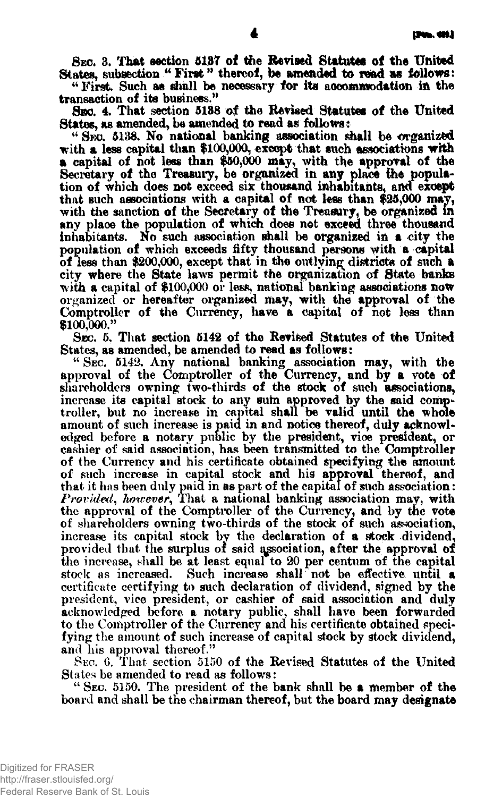SEC. 3. That section 5137 of the Revised Statutes of the United States, subsection " First " thereof, be amended to read as follows:

" First. Such as shall be necessary for its accommodation in the transaction of its business."

Spo. 4. That section 5138 of the Revised Statutes of the United States, as amended, be amended to read as follows:

" Skc. 5138. No national banking association shall be organized with a less capital than \$100,000, except that such associations with a capital of not less than \$50,000 may, with the approval of the Secretary of the Treasury, be organized in any place the population of which does not exceed six thousand inhabitants, and except that such associations with a capital of not less than \$25,000 may, with the sanction of the Secretary of the Treasury, be organized in any plaoe the population of which does not exceed three thousand inhabitants. No such association shall be organized in a city the population of which exceeds fifty thousand persons with a capital of less than \$200,000, except that in the outlying districts of such a city where the State laws permit the organization of State banks with a capital of \$100,000 or less, national banking associations now organized or hereafter organized may, with the approval of the Comptroller of the Currency, have a capital of not less than **\$**100**,**000**."**

Sec. 5. That section 5142 of the Revised Statutes of the United States, as amended, be amended to read as follows:

" **Sec.** 5142. Any national banking association may, with the approval of the Comptroller of the Currency, and by a vote of shareholders owning two-thirds of the stock of such associations, increase its capital stock to any sutn approved by the said comptroller, but no increase in capital shall be valid until the whole amount of such increase is paid in and notice thereof, duly acknowledged before a notary public by the president, vioe president, or cashier of said association, has been transmitted to the Comptroller of the Currency and his certificate obtained specifying the amount of such increase in capital stock and his approval thereof, and that it has been duly paid in as part of the capital of such association: *Provided*, *hon-cner,* That a national banking association mav, with the approval of the Comptroller of the Currency, and by the vote of shareholders owning two-thirds of the stock of such association, increase its capital stock by the declaration of a stock dividend, provided that the surplus of said association, after the approval of the increase, shall be at least equal to  $20$  per centum of the capital stock as increased. Such increase shall not be effective until a certificate certifying to such declaration of dividend, signed by the president, vice president, or cashier of said association and duly acknowledged before a notary public, shall have been forwarded to the Comptroller of the Currency and his certificate obtaihed specifying the amount of such increase of capital stock by stock dividend, and his approval thereof."

S<sub>EC</sub>. 6. That section 5150 of the Revised Statutes of the United States be amended to read as follows:

" SEC. 5150. The president of the bank shall be a member of the board and shall be the chairman thereof, but the board may designate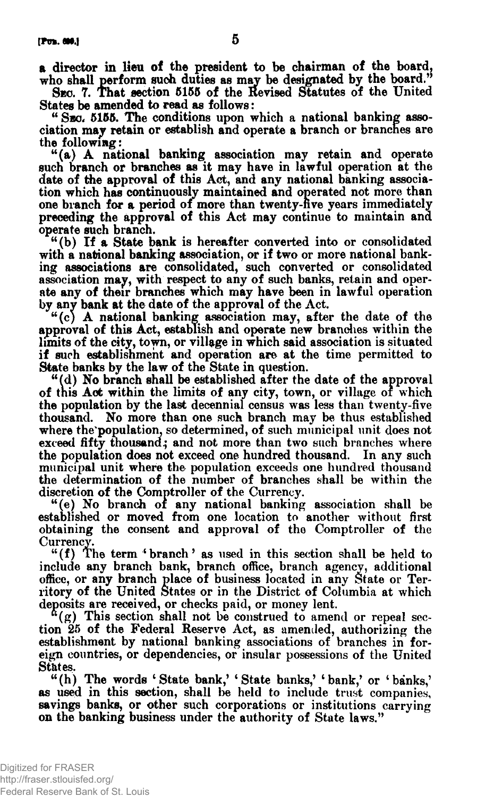a director in lieu of the president to be chairman of the board, who shall perform such duties as may be designated by the board."

Seo. 7. That section 5155 of the Kevised Statutes of the United States be amended to read as follows:

**" S e c,** 5155. The conditions upon which a national banking association may retain or establish and operate a branch or branches are the following:

" (a) A national banking association may retain and operate such branch or branches as it may have in lawful operation at the date of the approval of this Act, and any national banking association which has continuously maintained and operated not more than one branch for a period of more than twenty-five years immediately preceding the approval of this Act may continue to maintain and operate such branch.

" (b) If a State bank is hereafter converted into or consolidated with a national banking association, or if two or more national banking associations are consolidated, such converted or consolidated association may, with respect to any of such banks, retain and operate any of their branches which may have been in lawful operation by any bank at the date of the approval of the Act.

" (c) A national banking association may, after the date of the approval of this Act, establish and operate new brandies within the limits of the city, town, or village in which said association is situated if such establishment and operation are at the time permitted to State banks by the law of the State in question.

" (d) No branch shall be established after the date of the approval of this Act within the limits of any city, town, or village of which the population by the last decennial census was less than twenty-five thousand. No more than one such branch may be thus established where the'population, so determined, of such municipal unit does not exceed fifty thousand; and not more than two such branches where the population does not exceed one hundred thousand. In any such municipal unit where the population exceeds one hundred thousand the determination of the number of branches shall be within the discretion of the Comptroller of the Currency.

" (e) No branch ot any national banking association shall be established or moved from one location to another without first obtaining the consent and approval of the Comptroller of the Currency.

"(f) The term 'branch' as used in this section shall be held to include any branch bank, branch office, branch agency, additional office, or any branch place of business located in any State or Territory of the United States or in the District of Columbia at which deposits are received, or checks paid, or money lent.

 $(g)$  This section shall not be construed to amend or repeal section 25 of the Federal Reserve Act, as amended, authorizing the establishment by national banking associations of branches in foreign countries, or dependencies, or insular possessions of the United Sthtes.

" (h) The words ' State bank,' ' State banks,' ' bank,' or ' banks,' as used in this section, shall be held to include trust companies, savings banks, or other such corporations or institutions carrying on the banking business under the authority of State laws."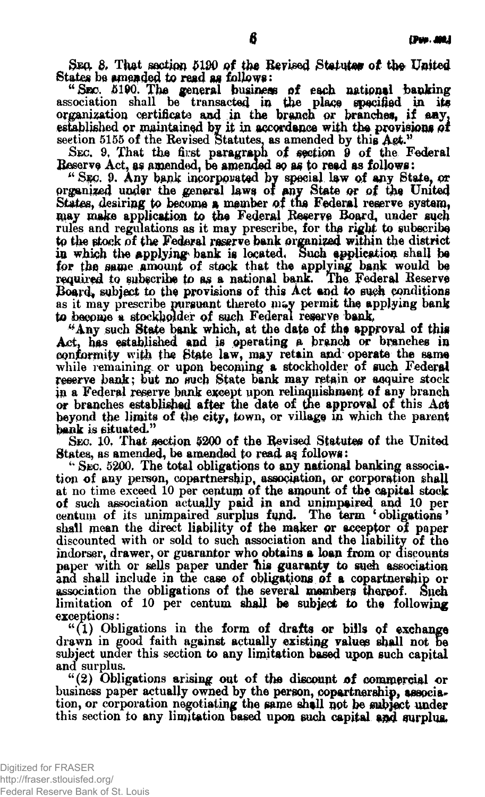SEG 8. That section 5190 of the Revised Statutes of the United **States be amended to read** *m* **follows:**

"SEC. 5190. The general business of each national banking association shall be transacted in the place specified in its organization certificate and in the branch or branches, if any. established or maintained by it in accordance with the provisions of section 5155 of the Revised Statutes, as amended by this Act."

SEC. 9, That the first paragraph of section  $9$  of the Federal Reserve Act, as amended, be amended so as to read as follows:

" SEC. 9. Any bank incorporated by special law of any State, or organized under the general laws *of* any State or of the United States, desiring to become a member of th» Federal reserve system, may make application to the Federal Reserve Board, under such rules and regulations as it may prescribe, for the right to subscribe to the stock of the Federal reserve bank organized within the district in which the applying' bank is located, Such application shall be for the same amount of stock that the applying bank would be required to subscribe to as a national bank. The. Federal Reserve Board, subject to the provisions of this Act and to such conditions as it may prescribe pursuant thereto may permit the applying bank to become a stockholder of such Federal reserve bank.

" Any such State bank which, at the date of the approval of this Act, has established and is operating a branch or branches in conformity with the State law, may retain and- operate the same while remaining, or upon becoming a stockholder of such Federal reserve bank; but no such State bank may retain or acquire stock in a Federal reserve bank except upon relinquishment of any branch or branches established after the date of the approval of this Act beyond the limits of the city, town, or village in which the parent bank is situated,"

**Sec.** 10, That section 5200 of the Revised Statutes of the United States, as amended, be amended to read as follows:

**u Sec,** 5200. The total obligations to any national banking association of any person, copartnership, association, or corporation shall at no time exceed 10 per centum of the amount of the capital stock of such association actually paid in and unimpaired and 10 per centum of its unimpaired surplus fund. The tem ' obligations ' shall mean the direct liability of the maker or acceptor of paper discounted with or sold to such association and the liability of the indorser, drawer, or guarantor who obtains a loan from or discounts paper with or sells paper under his guaranty to such association and shall include in the case of obligations of a copartnership or association the obligations of the several members thereof. Sueh limitation of 10 per centum shall be subject to the following exceptions:

 $(1)$  Obligations in the form of drafts or bills of exchange drawn in good faith against actually existing values shall not be subject under this section to any limitation based upon such capital and surplus.

" $(2)$  Obligations arising out of the discount of commercial or business paper actually owned by the person, copartnership, association, or corporation negotiating the same shall not be subject under this section to any limitation based upon such capital and surplus.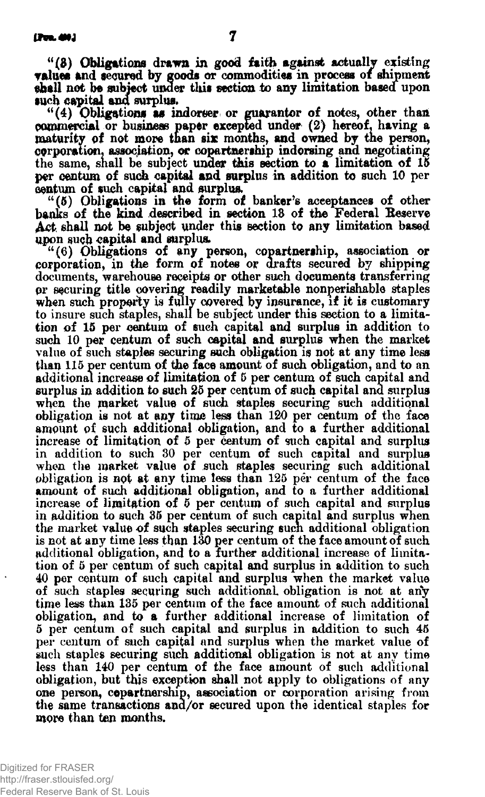" (8) Obligations drawn in good faith against actually existing values and secured by goods or commodities in process of shipment shall not be subject under this section to any limitation based upon •uch capital and surplus.

" $(4)$  Obligations as indorser or guarantor of notes, other than commercial or business paper excepted under (2) hereof, having a maturity of not more than six months, and owned by the person, Corporation, association, or copartnership indorsing and negotiating the same, shall be subject under this section to a limitation of 15 per centum of such capital and surplus in addition to such 10 per centum of such capital and surplus.

 $``(5)$  Obligations in the form of banker's acceptances of other banks of the kind described in section 18 of the Federal Reserve Act shall not be subject under this section to any limitation based upon such capital and surplus.

" (6) Obligations of any person, copartnership, association or corporation, in the form of notes or drafts secured by shipping documents, warehouse receipts or other such documents transferring pr securing title covering readily marketable nonpenshable staples when such property is fully covered by insurance, if it is customary to insure such staples, shall be subject under this seetion to a limitation of 15 per centum of such capital and surplus in addition to such 10 per centum of such capital and surplus when the market value of such staples securing such obligation is not at any time less than 115 per centum of the face amount of such obligation, and to an additional increase of limitation of 5 per centum of such capital and surplus in addition to such 25 per centum of such capital and surplus when the market value of such staples securing such additional obligation is not at any time less than 120 per centum of the face amount of such additional obligation, and to a further additional increase of limitation of 5 per centum of such capital and surplus in addition to such 30 per centum of such capital and surplus when the market value of such staples securing such additional obligation is not at any time less than 125 per centum of the face amount of such additional obligation, and to a further additional increase of limitation of 5 per centum of such capital and surplus in addition to such 35 per centum of such capital and surplus when the market value of such staples securing such additional obligation is not at any time less than 130 per centum of the face amount of such additional obligation, and to a further additional increase of limitation of 5 per centum of such capital and surplus in addition to such 40 per centum of such capital and surplus when the market value of such staples securing such additional, obligation is not at any time less than 135 per centum of the face amount of such additional obligation, and to a further additional increase of limitation of 5 per centum of such capital and surplus in addition to such 45 per centum of such capital and surplus when the market value of such staples securing such additional obligation is not at any time less than 140 per centum of the face amount of such additional obligation, but this exception shall not apply to obligations of any one person, copartnership, association or corporation arising from the same transactions and/or secured upon the identical staples for more than ten months.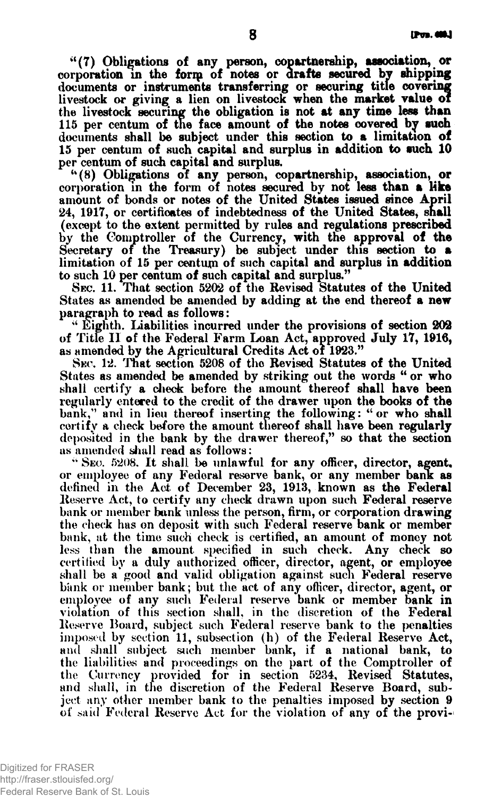**" (7) Obligations of any person, copartnership, association, or** corporation in the form of notes or drafts secured by shipping **documents or instruments transferring or securing title covering livestock or giving a lien on livestock when the market value ox** the **livestock securing the obligation is not at any time less than 115** per **centum of the face amount of the notes covered by such documents shall be subject under this section to a limitation of 15** per **centum of such capital and surplus in addition to such 10** per **centum of such capital and surplus.**

"(8) Obligations of any person, copartnership, association, or corporation m the form of notes secured by not less than **a like** amount of bonds or notes of the United States issued since April 24, 1917, or certificates of indebtedness of the United States, shall (except to the extent permitted by rules and regulations prescribed by the Comptroller of the Currency, with the approval of the Secretary of the Treasury) be subject under this section to a limitation of 15 per centum of such capital and surplus in addition to such 10 per centum of such capital and surplus."

SEC. 11. That section 5202 of the Revised Statutes of the United States as amended be amended by adding at the end thereof a new paragraph to read as follows:

" Eighth. Liabilities incurred under the provisions of section **202** of Title II of the Federal Farm Loan Act, approved July 17, 1916, as amended by the Agricultural Credits Act of 1923."

Seo. 12. That section 5208 of the Revised Statutes of the United States as amended be amended by striking out the words " or who shall certify a check before the amount thereof shall have been regularly entered to the credit of the drawer upon the books of the bank," and in lieu thereof inserting the following: " or who shall certify a check before the amount thereof shall have been regularly deposited in the bank by the drawer thereof," so that the section as amended shall read as follows:

" SEO.  $5208$ . It shall be unlawful for any officer, director, agent, or employee of any Federal reserve bank, or any member bank as defined in the Act. of December 23, 1913, known as the Federal Reserve Act, to certify any check drawn upon such Federal reserve bank or member bank unless the person, firm, or corporation drawing the check has on deposit with such Federal reserve bank or member bank, at the time such check is certified, an amount of money not less than the amount specified in such check. Any check so certified by a duly authorized officer, director, agent, or employee shall be a good and valid obligation against such Federal reserve bank or member bank; but the act of any officer, director, agent, or employee of any such Federal reserve bank or member bank in violation of this section shall, in the discretion of the Federal Reserve Board, subject such Federal reserve bank to the penalties imposed by section 11, subsection (h) of the Federal Reserve Act, and shall subject such member bank, if a national bank, to the liabilities and proceedings on the part of the Comptroller of the Currency provided for in section 5234, Revised Statutes, and shall, in the discretion of the Federal Reserve Board, subject any other member bank to the penalties imposed by section 9 of said Federal Reserve Act for the violation of any of the provi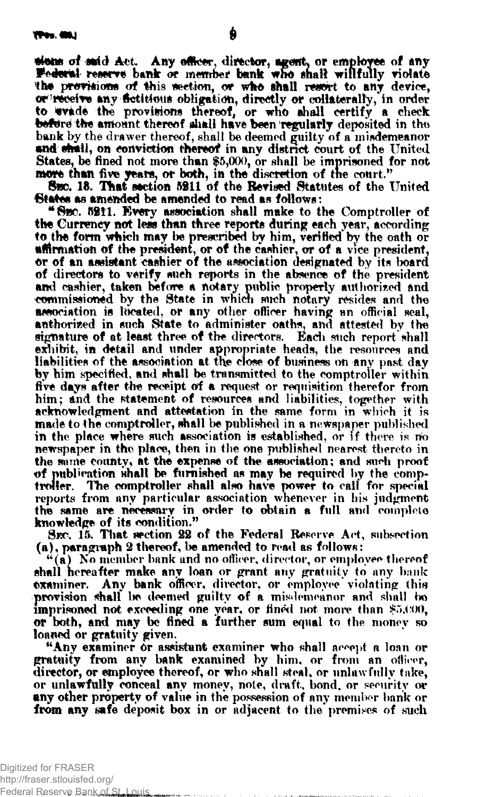sions of said Act. Any officer, director, agent, or employee of any Federal reserve bank or member bank who shall willfully violate the provisions of this weetion, or who shall resort to any device, or receive any fictitious obligation, directly or collaterally, in order to would the provisions thereof, or who shall certify a check before the amount thereof shall have been regularly deposited in the bank by the drawer thereof, shall be deemed guilty of a misdemeanor and shall, on conviction thereof in any district court of the United States, be fined not more than \$5,000, or shall be imprisoned for not more than five years, or both, in the discretion of the court."

**Sw. 18.** That **section 5211 of the Revised Statutes of the United States as amended be amended to read as follows:** 

\*8»c. 5211. Every association shall make to the Comptroller of the Currency not less than three reports during each year, according to the form which may be prescribed by him, verified by the oath or affirmation of the president, or of the cashier, or of a vice president, Or of an assistant cashier of the association designated by its board of directors to verify such reports in the absence of the president and cashier, taken before a notary public properly authorized and commissioned by the State in which such notary resides and the association is located, or any other officer having an official seal, anthorized in such State to administer oaths, and attested by the signature of at least three of the directors. Each such report shall exhibit, in detail and under appropriate heads, the resources and liabilities of the association at the close of business on any past day by him specified, and shall be transmitted to the comptroller within five days after the receipt of a request or requisition therefor from him; and the statement of resources and liabilities, together with acknowledgment and attestation in the same form in which it is made to the comptroller, shall be published in a newspaper published in the place where such association is established, or if there is rio newspaper in the place, then in the one published nearest thereto in the same county, at the expense of the association; and such proof of publication shall be furnished as may be required by the comptroller. The comptroller shall also have power to calf for special reports from any particular association whenever in his judgment the same are necessary in order to obtain a full and complete knowledge of its condition."

Sec. 15. That section 22 of the Federal Reserve Act, subsection (a), paragraph 2 thereof, be amended to read as follows:

" (a) No member bank and no officer, director, or employee thereof shall hereafter make any loan or grant any gratuity to any bank examiner. Any bank officer, director, or employee violating this provision dhall lie deemed guilty of a misdemeanor and shall bo imprisoned not exceeding one year, or fined not more than \$5,000, or both, and may be fined a further sum equal to the money so loaned or gratuity given.

"Any examiner or assistant examiner who shall accept a loan or gratuity from any bank examined by him, or from an officer, director, or employee thereof, or who shall steal, or unlawfully take, or unlawfully conceal any money, note, draft, bond, or security or any other property of value in the possession of any member bank or from any safe deposit box in or adjacent to the premises of such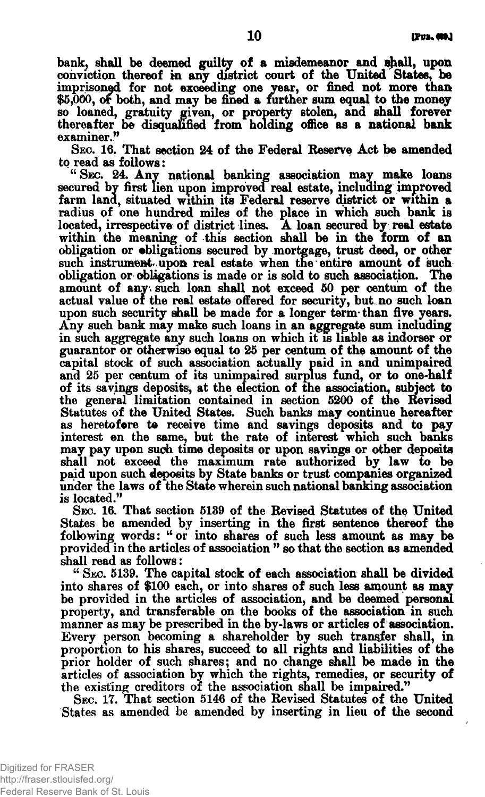bank, shall be deemed guilty of a misdemeanor and shall, upon conviction thereof m any district court of the United States, be imprisoned for not exceeding one year, or fined not more than \$5,000, or both, and may be fined a farther sum equal to the money so loaned, gratuity given, or property stolen, and shall forever thereafter be disqualified from holding office as a national bank examiner."

Sec. 16. That section 24 of the Federal Reserve Act be amended to read as follows:

" Sec. 24. Any national banking association may make loans secured by first lien upon improved real estate, including improved farm land, situated within its Federal reserve district or within a radius of one hundred miles of the place in which such bank is located, irrespective of district lines. A loan secured by real estate within the meaning of this section shall be in the form of an obligation or obligations secured by mortgage, trust deed, or other such instrument upon real estate when the entire amount of such obligation or obligations is made or is sold to such association. The amount of any-such loan shall not exceed 50 per centum of the actual value of the real estate offered for security, but. no such loan upon such security shall be made for a longer term- than five years. Any such bank may make such loans in an aggregate sum including in such aggregate any such loans on which it is liable as indorser or guarantor or otherwise equal to 25 per centum of the amount of the capital stock of such association actually paid in and unimpaired and 25 per centum of its unimpaired surplus fund, or to one-half of its savings deposits, at the election of the association, subject to the general limitation contained in section 5200 of the Revised Statutes of the United States. Such banks may continue hereafter as heretofore to receive time and savings deposits and to pay interest on the same, but the rate of interest which such banks may pay upon suoh time deposits or upon savings or other deposits shall not exceed the maximum rate authorized by law to be paid upon 6uch **deposits** by State banks or trust companies organized under the laws of the State wherein such national banking association is located."

Seo. 16. That section 5139 of the Revised Statutes of the United States be amended by inserting in the first sentence thereof the following words: '' or into shares of such less amount as may be provided in the articles of association " so that the section as amended shall read as follows:

" Sec. 5139. The capital stock of each association shall be divided into shares of \$100 each, or into shares of such less amount as may be provided in the articles of association, and be deemed personal property, and transferable on the books of the association in such manner as may be prescribed in the by-laws or articles of association. Every person becoming a shareholder by such transfer shall, in proportion to his shares, succeed to all rights and liabilities of the prior holder of such shares; and no change shall be made in the articles of association by which the rights, remedies, or security of the existing creditors of the association shall be impaired."

SEC. 17. That section 5146 of the Revised Statutes of the United States as amended be amended by inserting in lieu of the second